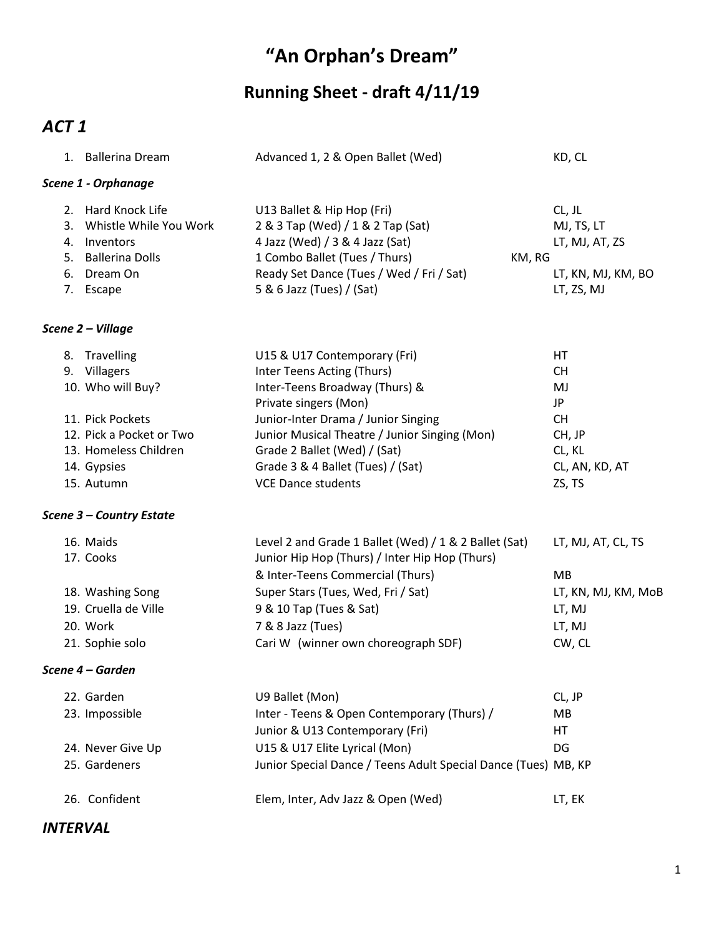# **"An Orphan's Dream"**

## **Running Sheet - draft 4/11/19**

### *ACT 1*

|                 | 1. Ballerina Dream                                                                    | Advanced 1, 2 & Open Ballet (Wed)                                                                                                             | KD, CL                                 |
|-----------------|---------------------------------------------------------------------------------------|-----------------------------------------------------------------------------------------------------------------------------------------------|----------------------------------------|
|                 | Scene 1 - Orphanage                                                                   |                                                                                                                                               |                                        |
|                 |                                                                                       |                                                                                                                                               |                                        |
|                 | 2. Hard Knock Life<br>3. Whistle While You Work<br>4. Inventors<br>5. Ballerina Dolls | U13 Ballet & Hip Hop (Fri)<br>2 & 3 Tap (Wed) / 1 & 2 Tap (Sat)<br>4 Jazz (Wed) / 3 & 4 Jazz (Sat)<br>1 Combo Ballet (Tues / Thurs)<br>KM, RG | CL, JL<br>MJ, TS, LT<br>LT, MJ, AT, ZS |
|                 | 6. Dream On                                                                           | Ready Set Dance (Tues / Wed / Fri / Sat)                                                                                                      | LT, KN, MJ, KM, BO                     |
|                 | 7. Escape                                                                             | 5 & 6 Jazz (Tues) / (Sat)                                                                                                                     | LT, ZS, MJ                             |
|                 | Scene 2 - Village                                                                     |                                                                                                                                               |                                        |
|                 | 8. Travelling                                                                         | U15 & U17 Contemporary (Fri)                                                                                                                  | HT                                     |
|                 | 9. Villagers                                                                          | Inter Teens Acting (Thurs)                                                                                                                    | <b>CH</b>                              |
|                 | 10. Who will Buy?                                                                     | Inter-Teens Broadway (Thurs) &<br>Private singers (Mon)                                                                                       | MJ<br>JP                               |
|                 | 11. Pick Pockets                                                                      | Junior-Inter Drama / Junior Singing                                                                                                           | <b>CH</b>                              |
|                 | 12. Pick a Pocket or Two                                                              | Junior Musical Theatre / Junior Singing (Mon)                                                                                                 | CH, JP                                 |
|                 | 13. Homeless Children                                                                 | Grade 2 Ballet (Wed) / (Sat)                                                                                                                  | CL, KL                                 |
|                 | 14. Gypsies                                                                           | Grade 3 & 4 Ballet (Tues) / (Sat)                                                                                                             | CL, AN, KD, AT                         |
|                 | 15. Autumn                                                                            | <b>VCE Dance students</b>                                                                                                                     | ZS, TS                                 |
|                 | Scene 3 - Country Estate                                                              |                                                                                                                                               |                                        |
|                 | 16. Maids<br>17. Cooks                                                                | Level 2 and Grade 1 Ballet (Wed) / 1 & 2 Ballet (Sat)<br>Junior Hip Hop (Thurs) / Inter Hip Hop (Thurs)                                       | LT, MJ, AT, CL, TS                     |
|                 |                                                                                       | & Inter-Teens Commercial (Thurs)                                                                                                              | MB                                     |
|                 | 18. Washing Song                                                                      | Super Stars (Tues, Wed, Fri / Sat)                                                                                                            | LT, KN, MJ, KM, MoB                    |
|                 | 19. Cruella de Ville                                                                  | 9 & 10 Tap (Tues & Sat)                                                                                                                       | LT, MJ                                 |
|                 | 20. Work                                                                              | 7 & 8 Jazz (Tues)                                                                                                                             | LT, MJ                                 |
|                 | 21. Sophie solo                                                                       | Cari W (winner own choreograph SDF)                                                                                                           | CW, CL                                 |
|                 | Scene 4 - Garden                                                                      |                                                                                                                                               |                                        |
|                 | 22. Garden                                                                            | U9 Ballet (Mon)                                                                                                                               | CL, JP                                 |
|                 | 23. Impossible                                                                        | Inter - Teens & Open Contemporary (Thurs) /                                                                                                   | MB                                     |
|                 |                                                                                       | Junior & U13 Contemporary (Fri)                                                                                                               | HT                                     |
|                 | 24. Never Give Up                                                                     | U15 & U17 Elite Lyrical (Mon)                                                                                                                 | DG                                     |
|                 | 25. Gardeners                                                                         | Junior Special Dance / Teens Adult Special Dance (Tues) MB, KP                                                                                |                                        |
|                 | 26. Confident                                                                         | Elem, Inter, Adv Jazz & Open (Wed)                                                                                                            | LT, EK                                 |
| <b>INTERVAL</b> |                                                                                       |                                                                                                                                               |                                        |